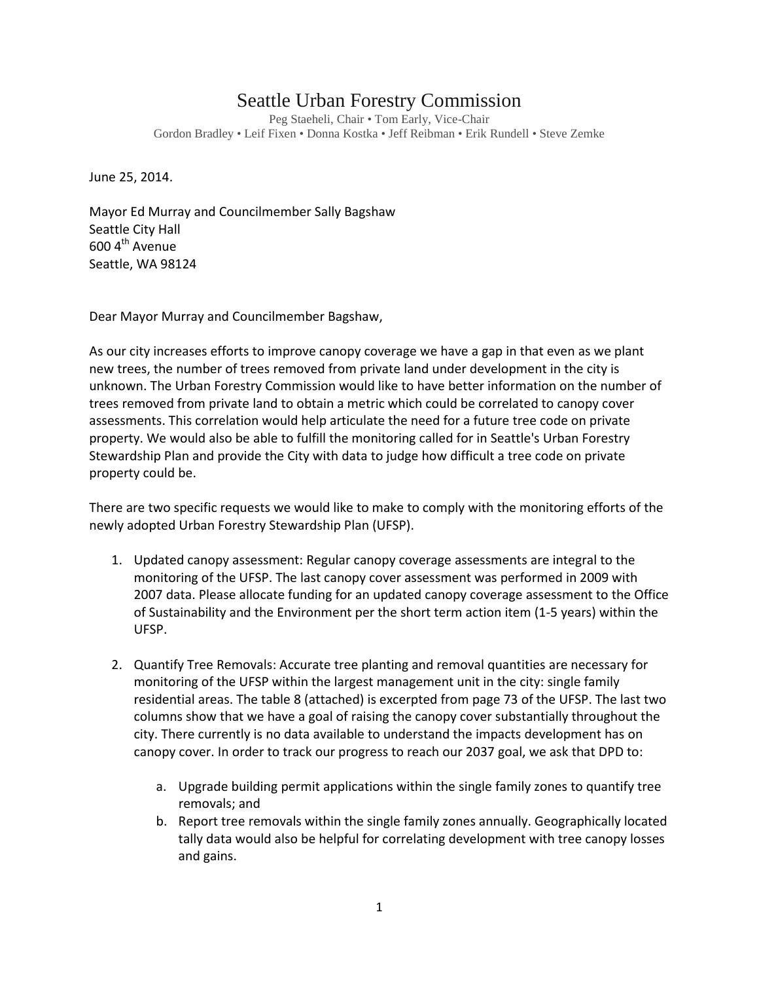## Seattle Urban Forestry Commission

Peg Staeheli, Chair • Tom Early, Vice-Chair Gordon Bradley • Leif Fixen • Donna Kostka • Jeff Reibman • Erik Rundell • Steve Zemke

June 25, 2014.

Mayor Ed Murray and Councilmember Sally Bagshaw Seattle City Hall  $6004^{\text{th}}$  Avenue Seattle, WA 98124

Dear Mayor Murray and Councilmember Bagshaw,

As our city increases efforts to improve canopy coverage we have a gap in that even as we plant new trees, the number of trees removed from private land under development in the city is unknown. The Urban Forestry Commission would like to have better information on the number of trees removed from private land to obtain a metric which could be correlated to canopy cover assessments. This correlation would help articulate the need for a future tree code on private property. We would also be able to fulfill the monitoring called for in Seattle's Urban Forestry Stewardship Plan and provide the City with data to judge how difficult a tree code on private property could be.

There are two specific requests we would like to make to comply with the monitoring efforts of the newly adopted Urban Forestry Stewardship Plan (UFSP).

- 1. Updated canopy assessment: Regular canopy coverage assessments are integral to the monitoring of the UFSP. The last canopy cover assessment was performed in 2009 with 2007 data. Please allocate funding for an updated canopy coverage assessment to the Office of Sustainability and the Environment per the short term action item (1-5 years) within the UFSP.
- 2. Quantify Tree Removals: Accurate tree planting and removal quantities are necessary for monitoring of the UFSP within the largest management unit in the city: single family residential areas. The table 8 (attached) is excerpted from page 73 of the UFSP. The last two columns show that we have a goal of raising the canopy cover substantially throughout the city. There currently is no data available to understand the impacts development has on canopy cover. In order to track our progress to reach our 2037 goal, we ask that DPD to:
	- a. Upgrade building permit applications within the single family zones to quantify tree removals; and
	- b. Report tree removals within the single family zones annually. Geographically located tally data would also be helpful for correlating development with tree canopy losses and gains.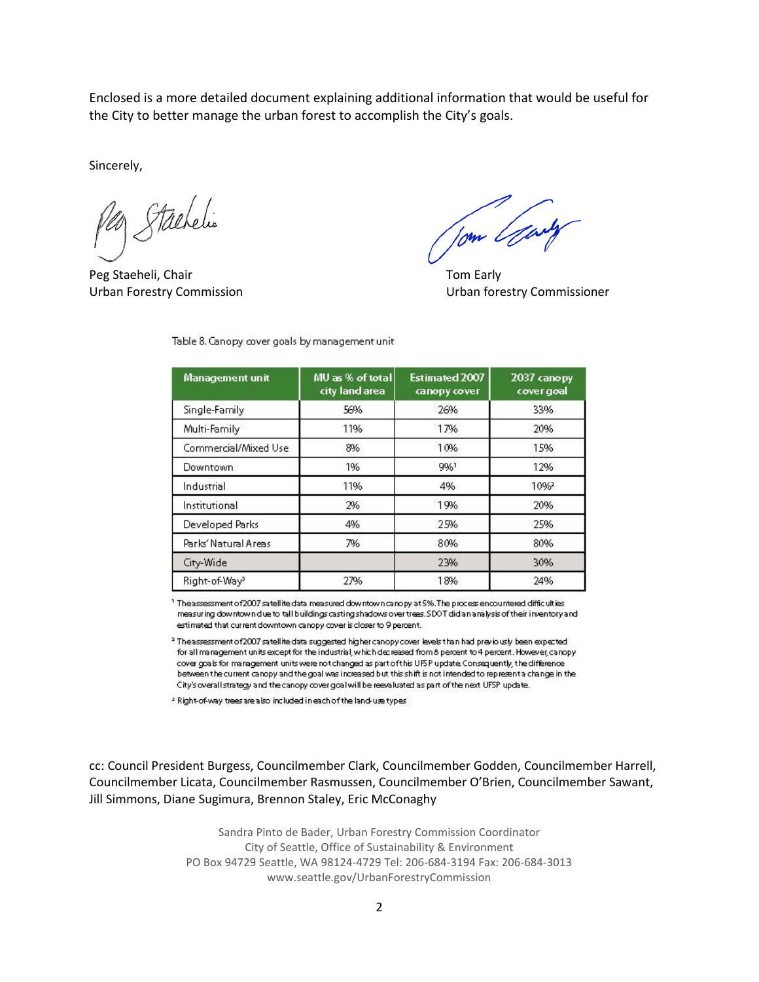Enclosed is a more detailed document explaining additional information that would be useful for the City to better manage the urban forest to accomplish the City's goals.

Sincerely,

Stachelin

Peg Staeheli, Chair Tom Early Tom Early

Urban Forestry Commission Urban forestry Commissioner

| Management unit           | MU as % of total<br>city land area | Estimated 2007<br>canopy cover | 2037 canopy<br>cover goal |
|---------------------------|------------------------------------|--------------------------------|---------------------------|
| Single-Family             | 56%                                | 26%                            | 33%                       |
| Multi-Family              | 11%                                | 17%                            | 20%                       |
| Commercial/Mixed Use      | 8%                                 | 10%                            | 15%                       |
| Downtown                  | 1%                                 | 9%1                            | 12%                       |
| Industrial                | 11%                                | 4%                             | 10%                       |
| Institutional             | 2%                                 | 19%                            | 20%                       |
| Developed Parks           | 4%                                 | 25%                            | 25%                       |
| Parks' Natural Areas      | 7%                                 | 80%                            | 80%                       |
| City-Wide                 |                                    | 23%                            | 30%                       |
| Right-of-Way <sup>3</sup> | 27%                                | 18%                            | 24%                       |

Table 8. Canopy cover goals by management unit

The assessment of 2007 satellite data measured downtown canopy at 5%. The process encountered difficulties measuring downtown due to tall buildings casting shadows over trees. SDOT did an analysis of their inventory and estimated that current downtown canopy cover is closer to 9 percent.

<sup>2</sup> The assessment of 2007 satellite data suggested higher canopy cover levels than had previously been expected for all management units except for the industrial, which decreased from 8 percent to 4 percent. However, canopy cover goals for management units were not changed as part of this UFSP update. Consequently, the difference between the current canopy and the goal was increased but this shift is not intended to represent a change in the City's overall strategy and the canopy cover goal will be reevaluated as part of the next UFSP update.

<sup>2</sup> Right-of-way trees are also included in each of the land-use types

cc: Council President Burgess, Councilmember Clark, Councilmember Godden, Councilmember Harrell, Councilmember Licata, Councilmember Rasmussen, Councilmember O'Brien, Councilmember Sawant, Jill Simmons, Diane Sugimura, Brennon Staley, Eric McConaghy

> Sandra Pinto de Bader, Urban Forestry Commission Coordinator City of Seattle, Office of Sustainability & Environment PO Box 94729 Seattle, WA 98124-4729 Tel: 206-684-3194 Fax: 206-684-3013 www.seattle.gov/UrbanForestryCommission